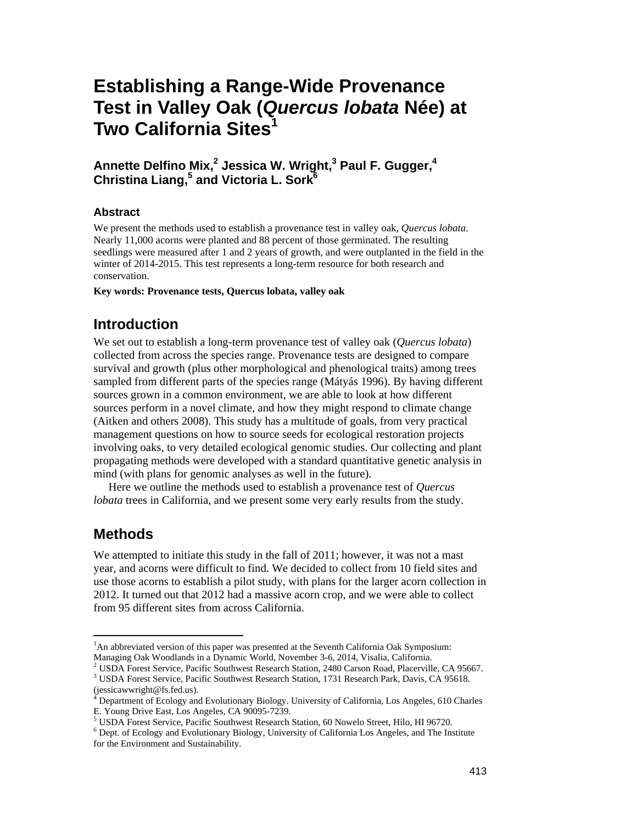# **Establishing a Range-Wide Provenance Test in Valley Oak (***Quercus lobata* **Née) at Two California Sites1**

# **Annette Delfino Mix,2 Jessica W. Wright,3 Paul F. Gugger,4 Christina Liang,<sup>5</sup> and Victoria L. Sork6**

### **Abstract**

We present the methods used to establish a provenance test in valley oak, *Quercus lobata*. Nearly 11,000 acorns were planted and 88 percent of those germinated. The resulting seedlings were measured after 1 and 2 years of growth, and were outplanted in the field in the winter of 2014-2015. This test represents a long-term resource for both research and conservation.

**Key words: Provenance tests, Quercus lobata, valley oak** 

# **Introduction**

We set out to establish a long-term provenance test of valley oak (*Quercus lobata*) collected from across the species range. Provenance tests are designed to compare survival and growth (plus other morphological and phenological traits) among trees sampled from different parts of the species range (Mátyás 1996). By having different sources grown in a common environment, we are able to look at how different sources perform in a novel climate, and how they might respond to climate change (Aitken and others 2008). This study has a multitude of goals, from very practical management questions on how to source seeds for ecological restoration projects involving oaks, to very detailed ecological genomic studies. Our collecting and plant propagating methods were developed with a standard quantitative genetic analysis in mind (with plans for genomic analyses as well in the future).

Here we outline the methods used to establish a provenance test of *Quercus lobata* trees in California, and we present some very early results from the study.

# **Methods**

 $\overline{a}$ 

We attempted to initiate this study in the fall of 2011; however, it was not a mast year, and acorns were difficult to find. We decided to collect from 10 field sites and use those acorns to establish a pilot study, with plans for the larger acorn collection in 2012. It turned out that 2012 had a massive acorn crop, and we were able to collect from 95 different sites from across California.

<sup>&</sup>lt;sup>1</sup>An abbreviated version of this paper was presented at the Seventh California Oak Symposium: Managing Oak Woodlands in a Dynamic World, November 3-6, 2014, Visalia, California.<br><sup>2</sup> USDA Forest Service, Resific Southwest Bessarsh Station, 2480 Cerson Bood, Rheesryill.

<sup>&</sup>lt;sup>2</sup> USDA Forest Service, Pacific Southwest Research Station, 2480 Carson Road, Placerville, CA 95667.<br><sup>3</sup> USDA Forest Service, Pecific Southwest Besearch Station, 1731 Besearch Berk, Davis, CA 95618. USDA Forest Service, Pacific Southwest Research Station, 1731 Research Park, Davis, CA 95618.

<sup>(</sup>jessicawwright@fs.fed.us). <sup>4</sup>

 Department of Ecology and Evolutionary Biology. University of California, Los Angeles, 610 Charles E. Young Drive East, Los Angeles, CA 90095-7239.

<sup>&</sup>lt;sup>5</sup> USDA Forest Service, Pacific Southwest Research Station, 60 Nowelo Street, Hilo, HI 96720.

Dept. of Ecology and Evolutionary Biology, University of California Los Angeles, and The Institute for the Environment and Sustainability.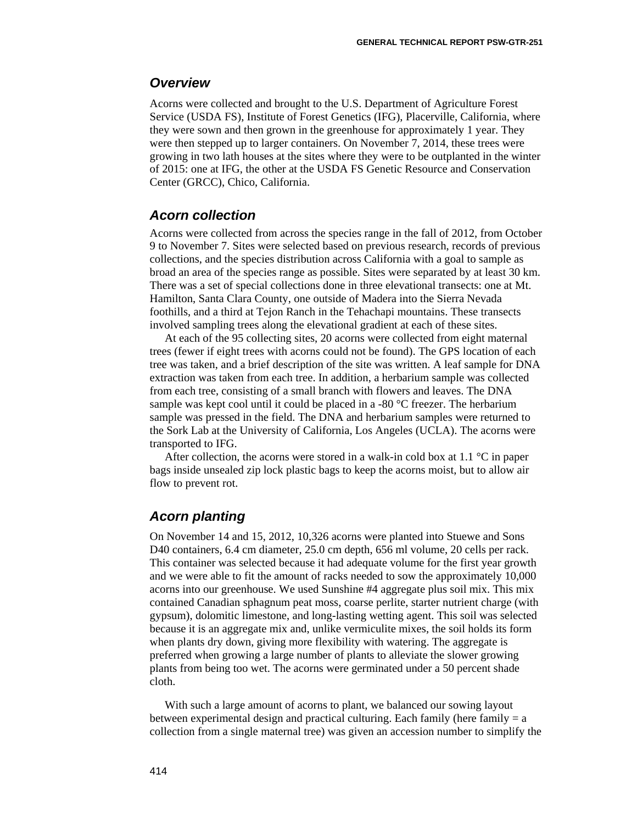### *Overview*

Acorns were collected and brought to the U.S. Department of Agriculture Forest Service (USDA FS), Institute of Forest Genetics (IFG), Placerville, California, where they were sown and then grown in the greenhouse for approximately 1 year. They were then stepped up to larger containers. On November 7, 2014, these trees were growing in two lath houses at the sites where they were to be outplanted in the winter of 2015: one at IFG, the other at the USDA FS Genetic Resource and Conservation Center (GRCC), Chico, California.

## *Acorn collection*

Acorns were collected from across the species range in the fall of 2012, from October 9 to November 7. Sites were selected based on previous research, records of previous collections, and the species distribution across California with a goal to sample as broad an area of the species range as possible. Sites were separated by at least 30 km. There was a set of special collections done in three elevational transects: one at Mt. Hamilton, Santa Clara County, one outside of Madera into the Sierra Nevada foothills, and a third at Tejon Ranch in the Tehachapi mountains. These transects involved sampling trees along the elevational gradient at each of these sites.

At each of the 95 collecting sites, 20 acorns were collected from eight maternal trees (fewer if eight trees with acorns could not be found). The GPS location of each tree was taken, and a brief description of the site was written. A leaf sample for DNA extraction was taken from each tree. In addition, a herbarium sample was collected from each tree, consisting of a small branch with flowers and leaves. The DNA sample was kept cool until it could be placed in a -80 °C freezer. The herbarium sample was pressed in the field. The DNA and herbarium samples were returned to the Sork Lab at the University of California, Los Angeles (UCLA). The acorns were transported to IFG.

After collection, the acorns were stored in a walk-in cold box at 1.1  $\degree$ C in paper bags inside unsealed zip lock plastic bags to keep the acorns moist, but to allow air flow to prevent rot.

### *Acorn planting*

On November 14 and 15, 2012, 10,326 acorns were planted into Stuewe and Sons D40 containers, 6.4 cm diameter, 25.0 cm depth, 656 ml volume, 20 cells per rack. This container was selected because it had adequate volume for the first year growth and we were able to fit the amount of racks needed to sow the approximately 10,000 acorns into our greenhouse. We used Sunshine #4 aggregate plus soil mix. This mix contained Canadian sphagnum peat moss, coarse perlite, starter nutrient charge (with gypsum), dolomitic limestone, and long-lasting wetting agent. This soil was selected because it is an aggregate mix and, unlike vermiculite mixes, the soil holds its form when plants dry down, giving more flexibility with watering. The aggregate is preferred when growing a large number of plants to alleviate the slower growing plants from being too wet. The acorns were germinated under a 50 percent shade cloth.

With such a large amount of acorns to plant, we balanced our sowing layout between experimental design and practical culturing. Each family (here family  $= a$ collection from a single maternal tree) was given an accession number to simplify the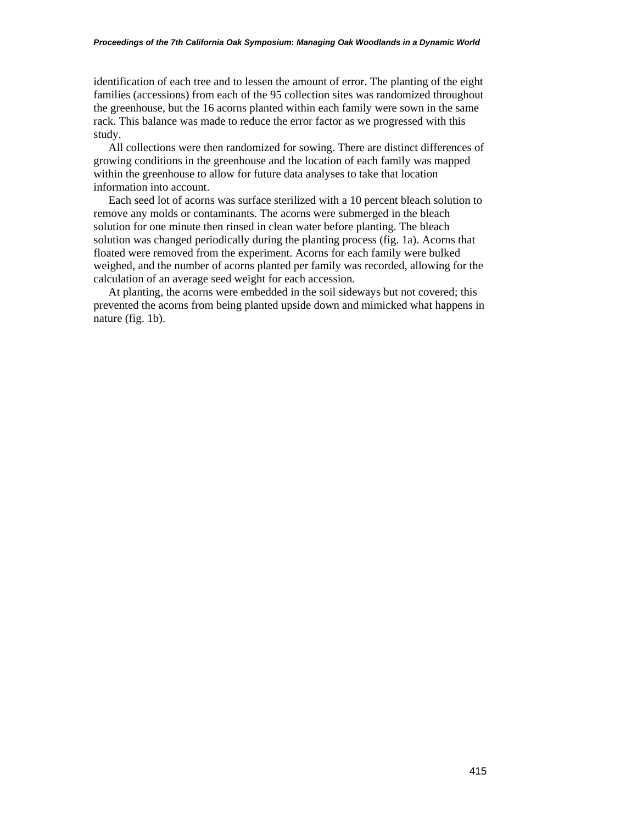identification of each tree and to lessen the amount of error. The planting of the eight families (accessions) from each of the 95 collection sites was randomized throughout the greenhouse, but the 16 acorns planted within each family were sown in the same rack. This balance was made to reduce the error factor as we progressed with this study.

All collections were then randomized for sowing. There are distinct differences of growing conditions in the greenhouse and the location of each family was mapped within the greenhouse to allow for future data analyses to take that location information into account.

Each seed lot of acorns was surface sterilized with a 10 percent bleach solution to remove any molds or contaminants. The acorns were submerged in the bleach solution for one minute then rinsed in clean water before planting. The bleach solution was changed periodically during the planting process (fig. 1a). Acorns that floated were removed from the experiment. Acorns for each family were bulked weighed, and the number of acorns planted per family was recorded, allowing for the calculation of an average seed weight for each accession.

At planting, the acorns were embedded in the soil sideways but not covered; this prevented the acorns from being planted upside down and mimicked what happens in nature (fig. 1b).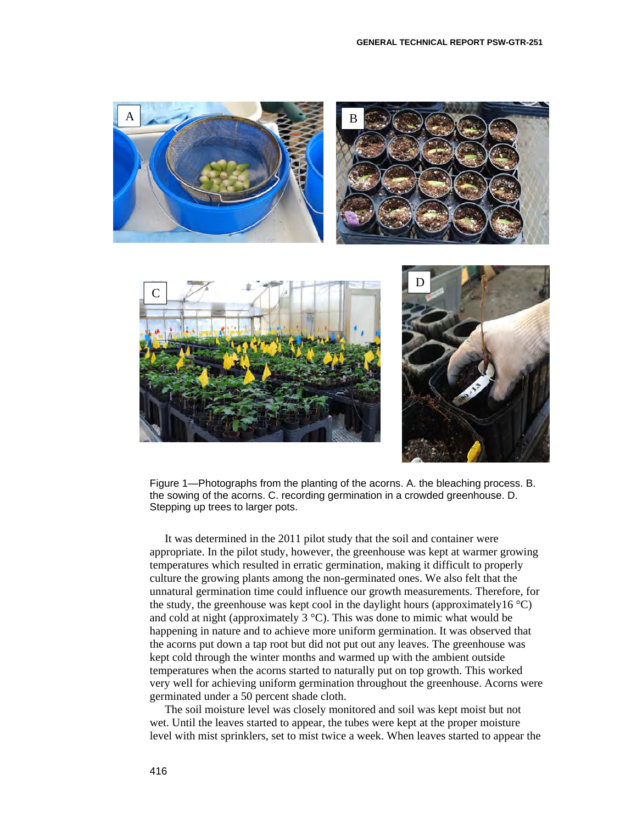

Figure 1—Photographs from the planting of the acorns. A. the bleaching process. B. the sowing of the acorns. C. recording germination in a crowded greenhouse. D. Stepping up trees to larger pots.

It was determined in the 2011 pilot study that the soil and container were appropriate. In the pilot study, however, the greenhouse was kept at warmer growing temperatures which resulted in erratic germination, making it difficult to properly culture the growing plants among the non-germinated ones. We also felt that the unnatural germination time could influence our growth measurements. Therefore, for the study, the greenhouse was kept cool in the daylight hours (approximately16  $\degree$ C) and cold at night (approximately  $3^{\circ}$ C). This was done to mimic what would be happening in nature and to achieve more uniform germination. It was observed that the acorns put down a tap root but did not put out any leaves. The greenhouse was kept cold through the winter months and warmed up with the ambient outside temperatures when the acorns started to naturally put on top growth. This worked very well for achieving uniform germination throughout the greenhouse. Acorns were germinated under a 50 percent shade cloth.

The soil moisture level was closely monitored and soil was kept moist but not wet. Until the leaves started to appear, the tubes were kept at the proper moisture level with mist sprinklers, set to mist twice a week. When leaves started to appear the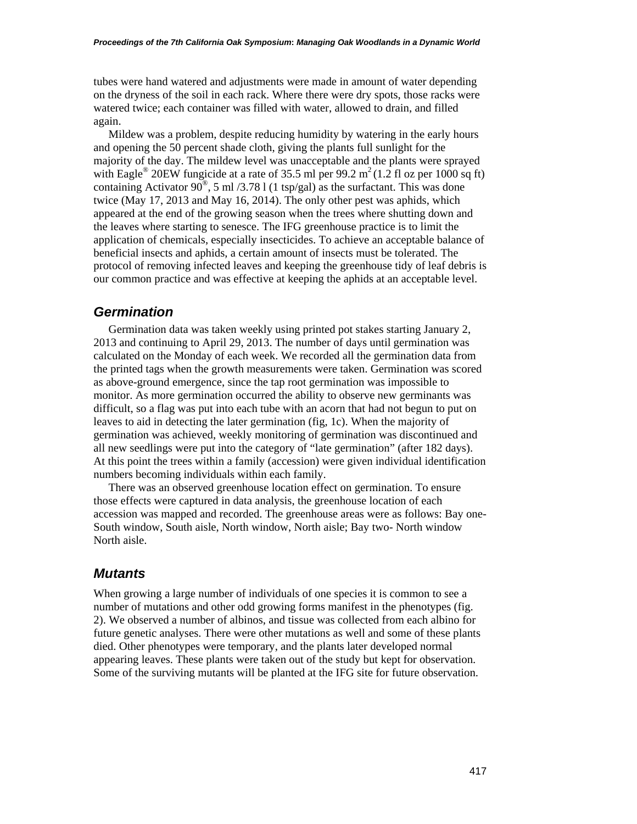tubes were hand watered and adjustments were made in amount of water depending on the dryness of the soil in each rack. Where there were dry spots, those racks were watered twice; each container was filled with water, allowed to drain, and filled again.

Mildew was a problem, despite reducing humidity by watering in the early hours and opening the 50 percent shade cloth, giving the plants full sunlight for the majority of the day. The mildew level was unacceptable and the plants were sprayed with Eagle<sup>®</sup> 20EW fungicide at a rate of 35.5 ml per 99.2 m<sup>2</sup> (1.2 fl oz per 1000 sq ft) containing Activator  $90^{\circ}$ , 5 ml /3.78 l (1 tsp/gal) as the surfactant. This was done twice (May 17, 2013 and May 16, 2014). The only other pest was aphids, which appeared at the end of the growing season when the trees where shutting down and the leaves where starting to senesce. The IFG greenhouse practice is to limit the application of chemicals, especially insecticides. To achieve an acceptable balance of beneficial insects and aphids, a certain amount of insects must be tolerated. The protocol of removing infected leaves and keeping the greenhouse tidy of leaf debris is our common practice and was effective at keeping the aphids at an acceptable level.

#### *Germination*

Germination data was taken weekly using printed pot stakes starting January 2, 2013 and continuing to April 29, 2013. The number of days until germination was calculated on the Monday of each week. We recorded all the germination data from the printed tags when the growth measurements were taken. Germination was scored as above-ground emergence, since the tap root germination was impossible to monitor. As more germination occurred the ability to observe new germinants was difficult, so a flag was put into each tube with an acorn that had not begun to put on leaves to aid in detecting the later germination (fig, 1c). When the majority of germination was achieved, weekly monitoring of germination was discontinued and all new seedlings were put into the category of "late germination" (after 182 days). At this point the trees within a family (accession) were given individual identification numbers becoming individuals within each family.

There was an observed greenhouse location effect on germination. To ensure those effects were captured in data analysis, the greenhouse location of each accession was mapped and recorded. The greenhouse areas were as follows: Bay one-South window, South aisle, North window, North aisle; Bay two- North window North aisle.

#### *Mutants*

When growing a large number of individuals of one species it is common to see a number of mutations and other odd growing forms manifest in the phenotypes (fig. 2). We observed a number of albinos, and tissue was collected from each albino for future genetic analyses. There were other mutations as well and some of these plants died. Other phenotypes were temporary, and the plants later developed normal appearing leaves. These plants were taken out of the study but kept for observation. Some of the surviving mutants will be planted at the IFG site for future observation.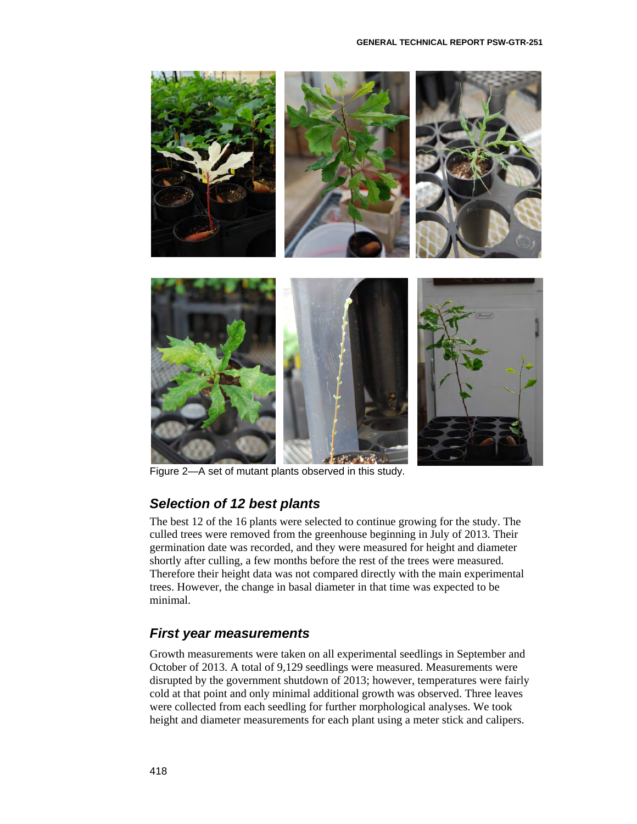

Figure 2—A set of mutant plants observed in this study.

# *Selection of 12 best plants*

The best 12 of the 16 plants were selected to continue growing for the study. The culled trees were removed from the greenhouse beginning in July of 2013. Their germination date was recorded, and they were measured for height and diameter shortly after culling, a few months before the rest of the trees were measured. Therefore their height data was not compared directly with the main experimental trees. However, the change in basal diameter in that time was expected to be minimal.

# *First year measurements*

Growth measurements were taken on all experimental seedlings in September and October of 2013. A total of 9,129 seedlings were measured. Measurements were disrupted by the government shutdown of 2013; however, temperatures were fairly cold at that point and only minimal additional growth was observed. Three leaves were collected from each seedling for further morphological analyses. We took height and diameter measurements for each plant using a meter stick and calipers.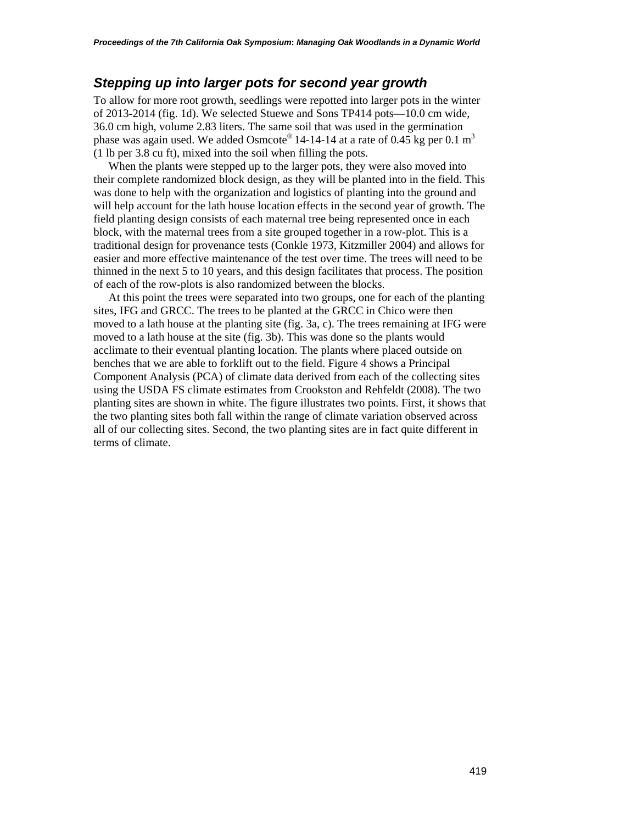### *Stepping up into larger pots for second year growth*

To allow for more root growth, seedlings were repotted into larger pots in the winter of 2013-2014 (fig. 1d). We selected Stuewe and Sons TP414 pots—10.0 cm wide, 36.0 cm high, volume 2.83 liters. The same soil that was used in the germination phase was again used. We added Osmcote<sup>®</sup> 14-14-14 at a rate of 0.45 kg per 0.1 m<sup>3</sup> (1 lb per 3.8 cu ft), mixed into the soil when filling the pots.

When the plants were stepped up to the larger pots, they were also moved into their complete randomized block design, as they will be planted into in the field. This was done to help with the organization and logistics of planting into the ground and will help account for the lath house location effects in the second year of growth. The field planting design consists of each maternal tree being represented once in each block, with the maternal trees from a site grouped together in a row-plot. This is a traditional design for provenance tests (Conkle 1973, Kitzmiller 2004) and allows for easier and more effective maintenance of the test over time. The trees will need to be thinned in the next 5 to 10 years, and this design facilitates that process. The position of each of the row-plots is also randomized between the blocks.

At this point the trees were separated into two groups, one for each of the planting sites, IFG and GRCC. The trees to be planted at the GRCC in Chico were then moved to a lath house at the planting site (fig. 3a, c). The trees remaining at IFG were moved to a lath house at the site (fig. 3b). This was done so the plants would acclimate to their eventual planting location. The plants where placed outside on benches that we are able to forklift out to the field. Figure 4 shows a Principal Component Analysis (PCA) of climate data derived from each of the collecting sites using the USDA FS climate estimates from Crookston and Rehfeldt (2008). The two planting sites are shown in white. The figure illustrates two points. First, it shows that the two planting sites both fall within the range of climate variation observed across all of our collecting sites. Second, the two planting sites are in fact quite different in terms of climate.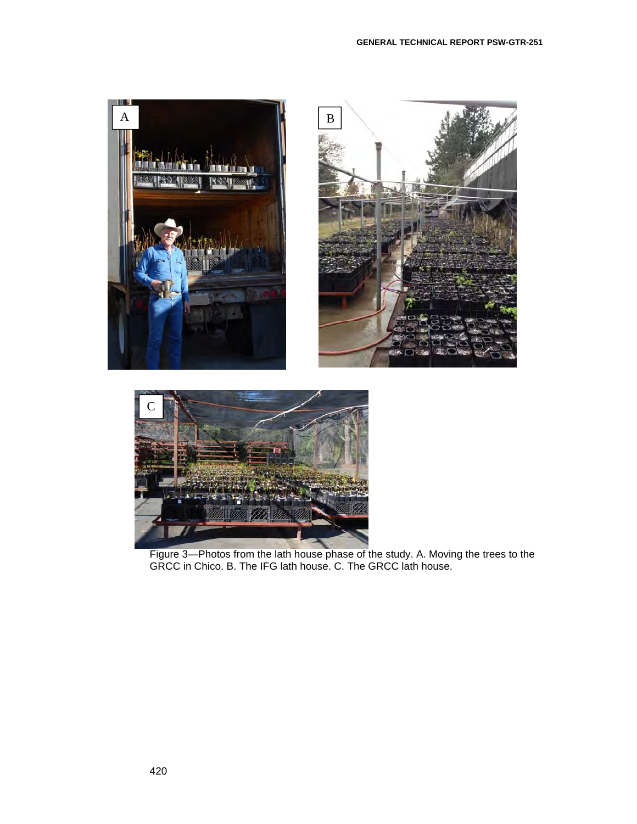



Figure 3—Photos from the lath house phase of the study. A. Moving the trees to the GRCC in Chico. B. The IFG lath house. C. The GRCC lath house.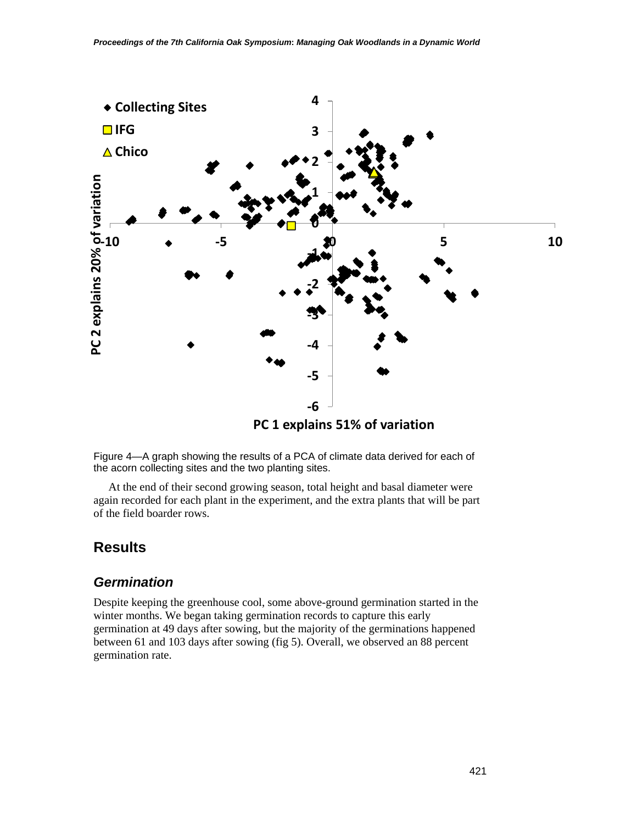

 **PC 1 explains 51% of variation**

Figure 4—A graph showing the results of a PCA of climate data derived for each of the acorn collecting sites and the two planting sites.

At the end of their second growing season, total height and basal diameter were again recorded for each plant in the experiment, and the extra plants that will be part of the field boarder rows.

# **Results**

### *Germination*

Despite keeping the greenhouse cool, some above-ground germination started in the winter months. We began taking germination records to capture this early germination at 49 days after sowing, but the majority of the germinations happened between 61 and 103 days after sowing (fig 5). Overall, we observed an 88 percent germination rate.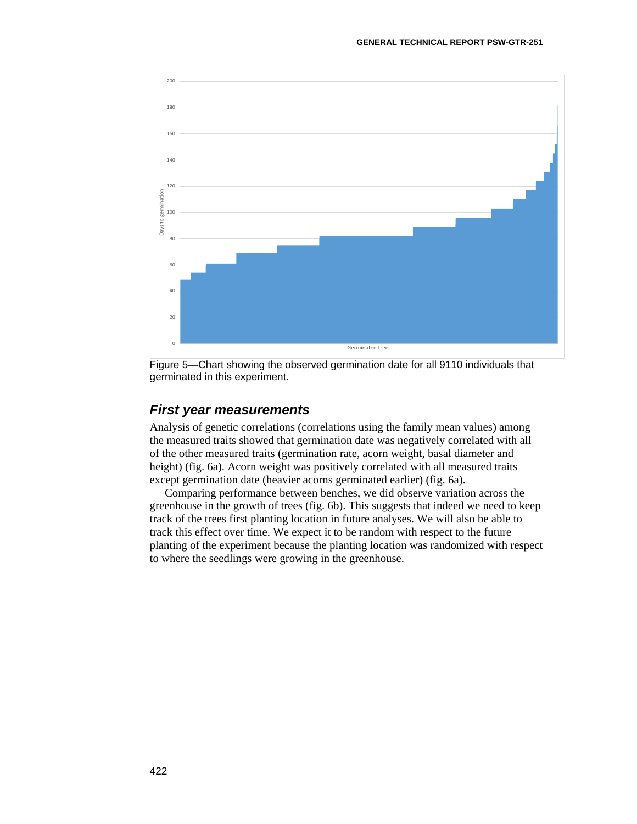

Figure 5—Chart showing the observed germination date for all 9110 individuals that germinated in this experiment.

#### *First year measurements*

Analysis of genetic correlations (correlations using the family mean values) among the measured traits showed that germination date was negatively correlated with all of the other measured traits (germination rate, acorn weight, basal diameter and height) (fig. 6a). Acorn weight was positively correlated with all measured traits except germination date (heavier acorns germinated earlier) (fig. 6a).

Comparing performance between benches, we did observe variation across the greenhouse in the growth of trees (fig. 6b). This suggests that indeed we need to keep track of the trees first planting location in future analyses. We will also be able to track this effect over time. We expect it to be random with respect to the future planting of the experiment because the planting location was randomized with respect to where the seedlings were growing in the greenhouse.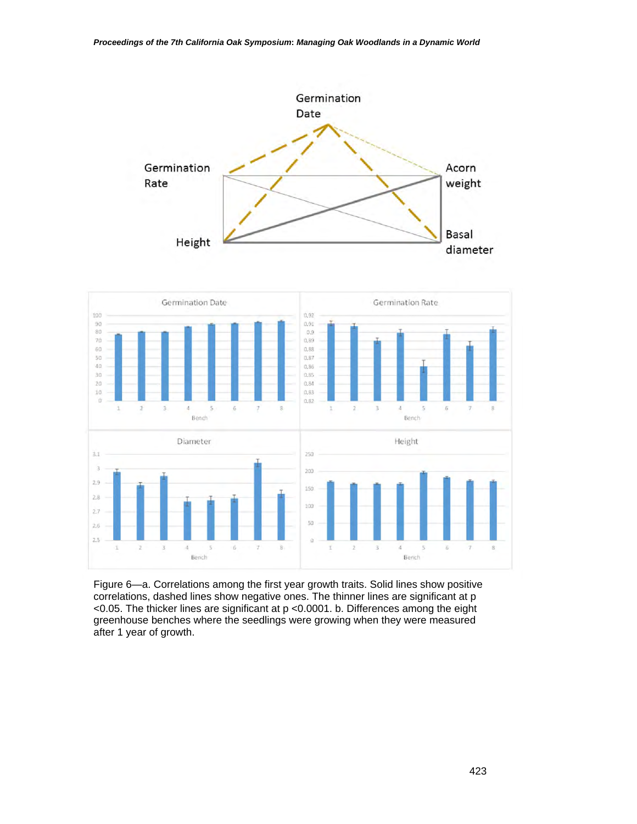

Figure 6—a. Correlations among the first year growth traits. Solid lines show positive correlations, dashed lines show negative ones. The thinner lines are significant at p <0.05. The thicker lines are significant at p <0.0001. b. Differences among the eight greenhouse benches where the seedlings were growing when they were measured after 1 year of growth.